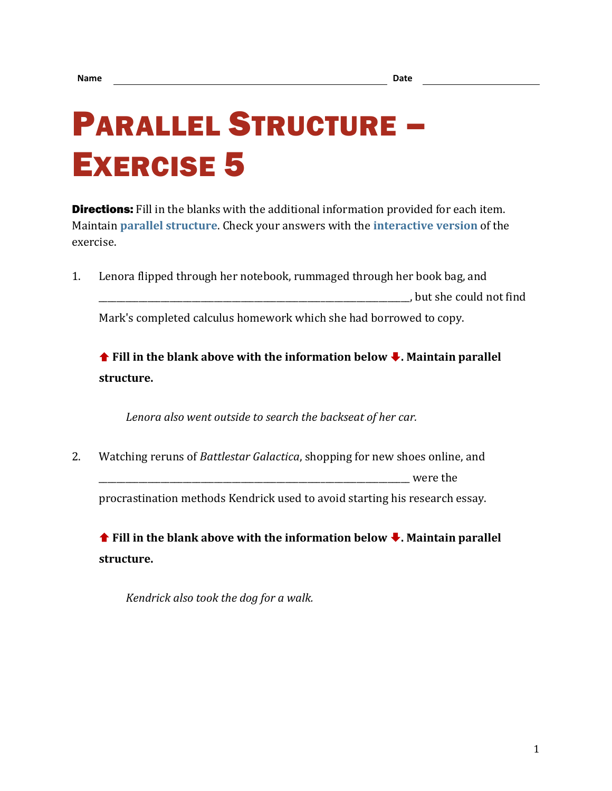## PARALLEL STRUCTURE – EXERCISE 5

**Directions:** Fill in the blanks with the additional information provided for each item. Maintain **[parallel structure](https://chompchomp.com/terms/parallelstructure.htm)**. Check your answers with the **[interactive version](https://chompchomp.com/hotpotatoes/structure05.htm)** of the exercise.

1. Lenora flipped through her notebook, rummaged through her book bag, and \_\_\_\_\_\_\_\_\_\_\_\_\_\_\_\_\_\_\_\_\_\_\_\_\_\_\_\_\_\_\_\_\_\_\_\_\_\_\_\_\_\_\_\_\_\_\_\_\_\_\_\_\_\_\_\_\_\_\_\_\_\_\_\_\_\_\_\_\_\_, but she could not find

Mark's completed calculus homework which she had borrowed to copy.

**↑** Fill in the blank above with the information below ↓. Maintain parallel **structure.**

*Lenora also went outside to search the backseat of her car.*

2. Watching reruns of *Battlestar Galactica*, shopping for new shoes online, and were the procrastination methods Kendrick used to avoid starting his research essay.

**↑** Fill in the blank above with the information below ↓. Maintain parallel **structure.**

*Kendrick also took the dog for a walk.*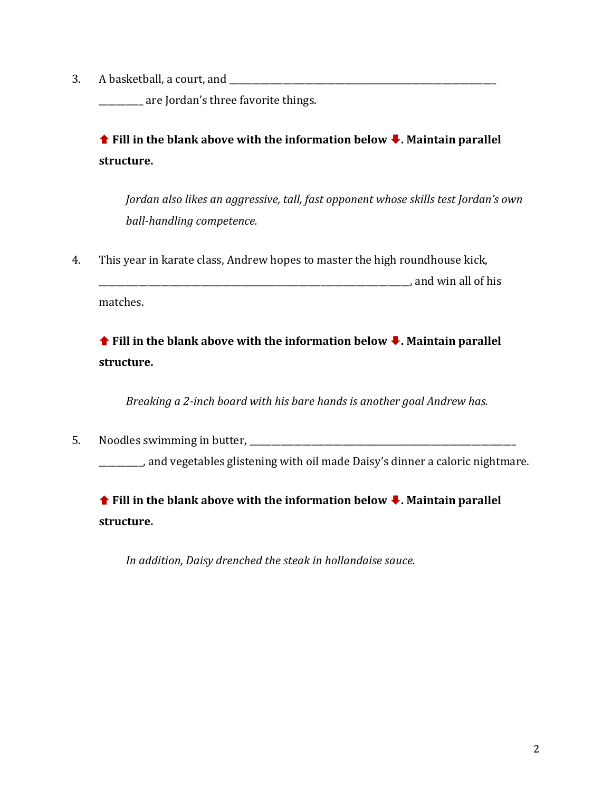3. A basketball, a court, and \_\_\_\_\_\_\_\_\_\_\_\_\_\_\_\_\_\_\_\_\_\_\_\_\_\_\_\_\_\_\_\_\_\_\_\_\_\_\_\_\_\_\_\_\_\_\_\_\_\_\_\_\_\_\_\_\_\_\_\_

\_\_\_\_\_\_\_\_\_\_ are Jordan's three favorite things.

**↑** Fill in the blank above with the information below ↓. Maintain parallel **structure.**

*Jordan also likes an aggressive, tall, fast opponent whose skills test Jordan's own ball-handling competence.*

4. This year in karate class, Andrew hopes to master the high roundhouse kick,

\_\_\_\_\_\_\_\_\_\_\_\_\_\_\_\_\_\_\_\_\_\_\_\_\_\_\_\_\_\_\_\_\_\_\_\_\_\_\_\_\_\_\_\_\_\_\_\_\_\_\_\_\_\_\_\_\_\_\_\_\_\_\_\_\_\_\_\_\_\_, and win all of his matches.

**↑** Fill in the blank above with the information below ↓. Maintain parallel **structure.**

*Breaking a 2-inch board with his bare hands is another goal Andrew has.*

5. Noodles swimming in butter,

\_\_\_\_\_\_\_\_\_\_, and vegetables glistening with oil made Daisy's dinner a caloric nightmare.

 **Fill in the blank above with the information below . Maintain parallel structure.**

*In addition, Daisy drenched the steak in hollandaise sauce.*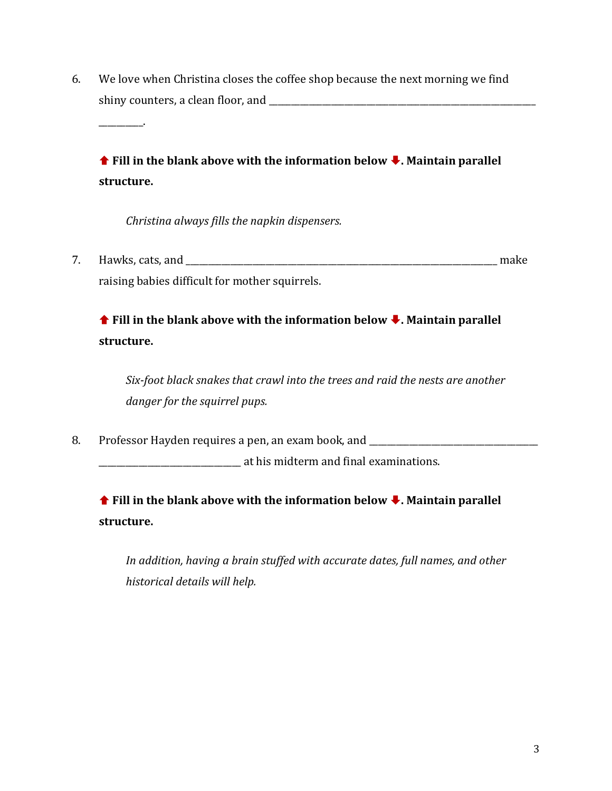6. We love when Christina closes the coffee shop because the next morning we find shiny counters, a clean floor, and \_\_\_\_\_\_\_\_\_\_\_\_\_\_\_\_\_\_\_\_\_\_\_\_\_\_\_\_\_\_\_\_\_\_\_\_\_\_\_\_\_\_\_\_\_\_\_\_\_\_\_\_\_\_\_\_\_\_\_\_

**↑** Fill in the blank above with the information below ↓. Maintain parallel **structure.**

*Christina always fills the napkin dispensers.*

\_\_\_\_\_\_\_\_\_\_.

7. Hawks, cats, and **the contract of the contract of the contract of the contract of the contract of the contract of the contract of the contract of the contract of the contract of the contract of the contract of the contr** raising babies difficult for mother squirrels.

 **Fill in the blank above with the information below . Maintain parallel structure.**

*Six-foot black snakes that crawl into the trees and raid the nests are another danger for the squirrel pups.*

8. Professor Hayden requires a pen, an exam book, and \_\_\_\_\_\_\_\_\_\_\_\_\_\_\_\_\_\_\_\_\_\_\_\_\_\_

\_\_\_\_\_\_\_\_\_\_\_\_\_\_\_\_\_\_\_\_\_\_\_\_\_\_\_\_\_\_\_\_ at his midterm and final examinations.

 **Fill in the blank above with the information below . Maintain parallel structure.**

*In addition, having a brain stuffed with accurate dates, full names, and other historical details will help.*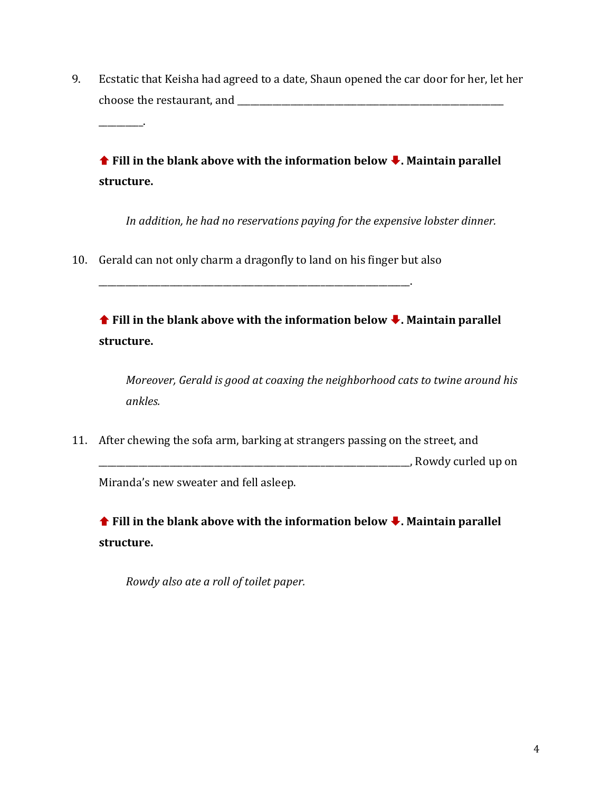9. Ecstatic that Keisha had agreed to a date, Shaun opened the car door for her, let her choose the restaurant, and  $\Box$ 

**↑ Fill in the blank above with the information below ↓. Maintain parallel structure.**

*In addition, he had no reservations paying for the expensive lobster dinner.*

10. Gerald can not only charm a dragonfly to land on his finger but also

\_\_\_\_\_\_\_\_\_\_\_\_\_\_\_\_\_\_\_\_\_\_\_\_\_\_\_\_\_\_\_\_\_\_\_\_\_\_\_\_\_\_\_\_\_\_\_\_\_\_\_\_\_\_\_\_\_\_\_\_\_\_\_\_\_\_\_\_\_\_.

\_\_\_\_\_\_\_\_\_\_.

 **Fill in the blank above with the information below . Maintain parallel structure.**

*Moreover, Gerald is good at coaxing the neighborhood cats to twine around his ankles.*

11. After chewing the sofa arm, barking at strangers passing on the street, and \_\_\_\_\_\_\_\_\_\_\_\_\_\_\_\_\_\_\_\_\_\_\_\_\_\_\_\_\_\_\_\_\_\_\_\_\_\_\_\_\_\_\_\_\_\_\_\_\_\_\_\_\_\_\_\_\_\_\_\_\_\_\_\_\_\_\_\_\_\_, Rowdy curled up on Miranda's new sweater and fell asleep.

**↑** Fill in the blank above with the information below ↓. Maintain parallel **structure.**

*Rowdy also ate a roll of toilet paper.*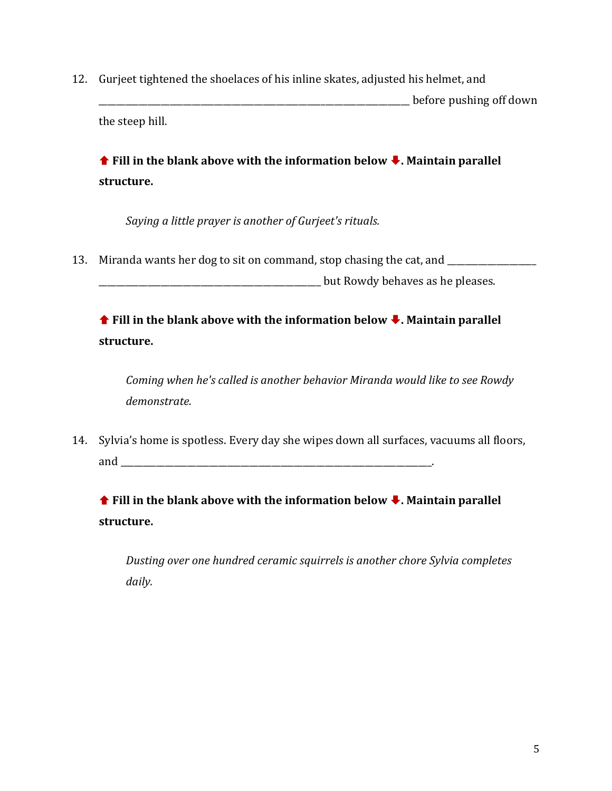12. Gurjeet tightened the shoelaces of his inline skates, adjusted his helmet, and \_\_\_\_\_\_\_\_\_\_\_\_\_\_\_\_\_\_\_\_\_\_\_\_\_\_\_\_\_\_\_\_\_\_\_\_\_\_\_\_\_\_\_\_\_\_\_\_\_\_\_\_\_\_\_\_\_\_\_\_\_\_\_\_\_\_\_\_\_\_ before pushing off down the steep hill.

**↑ Fill in the blank above with the information below ↓. Maintain parallel structure.**

*Saying a little prayer is another of Gurjeet's rituals.* 

13. Miranda wants her dog to sit on command, stop chasing the cat, and \_\_\_\_\_\_\_\_\_\_

\_\_\_\_\_\_\_\_\_\_\_\_\_\_\_\_\_\_\_\_\_\_\_\_\_\_\_\_\_\_\_\_\_\_\_\_\_\_\_\_\_\_\_\_\_\_\_\_\_\_ but Rowdy behaves as he pleases.

 **Fill in the blank above with the information below . Maintain parallel structure.**

*Coming when he's called is another behavior Miranda would like to see Rowdy demonstrate.*

14. Sylvia's home is spotless. Every day she wipes down all surfaces, vacuums all floors, and  $\overline{u}$ 

 **Fill in the blank above with the information below . Maintain parallel structure.**

*Dusting over one hundred ceramic squirrels is another chore Sylvia completes daily.*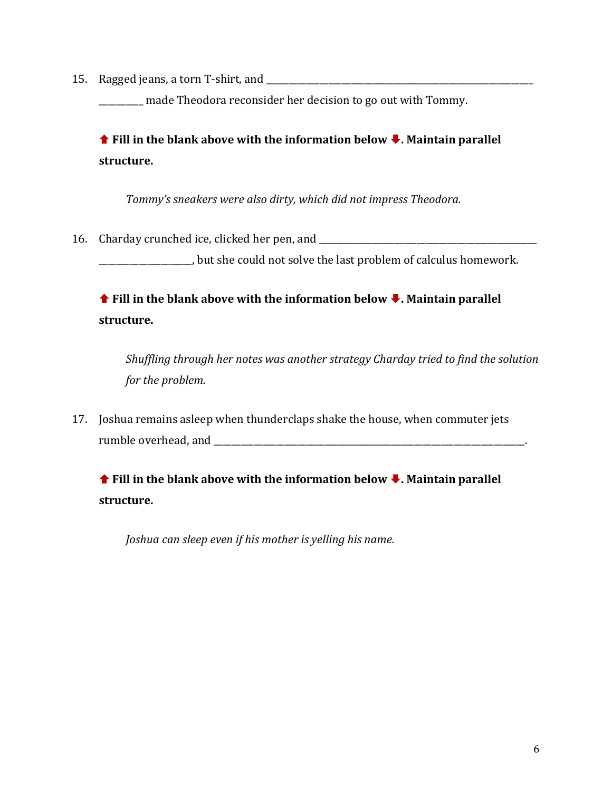15. Ragged jeans, a torn T-shirt, and \_\_\_\_\_\_\_\_\_\_\_\_\_\_\_\_\_\_\_\_\_\_\_\_\_\_\_\_\_\_\_\_\_\_\_\_\_\_\_\_\_\_\_\_\_\_\_\_\_\_\_\_\_\_\_\_\_\_\_\_

\_\_\_\_\_\_\_\_\_\_ made Theodora reconsider her decision to go out with Tommy.

**↑** Fill in the blank above with the information below ↓. Maintain parallel **structure.**

*Tommy's sneakers were also dirty, which did not impress Theodora.*

16. Charday crunched ice, clicked her pen, and \_\_\_\_\_\_\_\_\_\_\_\_\_\_\_\_\_\_\_\_\_\_\_\_\_\_\_\_\_\_\_\_\_

\_\_\_\_\_\_\_\_\_\_\_\_\_\_\_\_\_\_\_\_\_, but she could not solve the last problem of calculus homework.

**↑** Fill in the blank above with the information below ↓. Maintain parallel **structure.**

*Shuffling through her notes was another strategy Charday tried to find the solution for the problem.*

17. Joshua remains asleep when thunderclaps shake the house, when commuter jets rumble overhead, and \_\_\_\_\_\_\_\_\_\_\_\_\_\_\_\_\_\_\_\_\_\_\_\_\_\_\_\_\_\_\_\_\_\_\_\_\_\_\_\_\_\_\_\_\_\_\_\_\_\_\_\_\_\_\_\_\_\_\_\_\_\_\_\_\_\_\_\_\_\_.

**↑** Fill in the blank above with the information below ↓. Maintain parallel **structure.**

*Joshua can sleep even if his mother is yelling his name.*